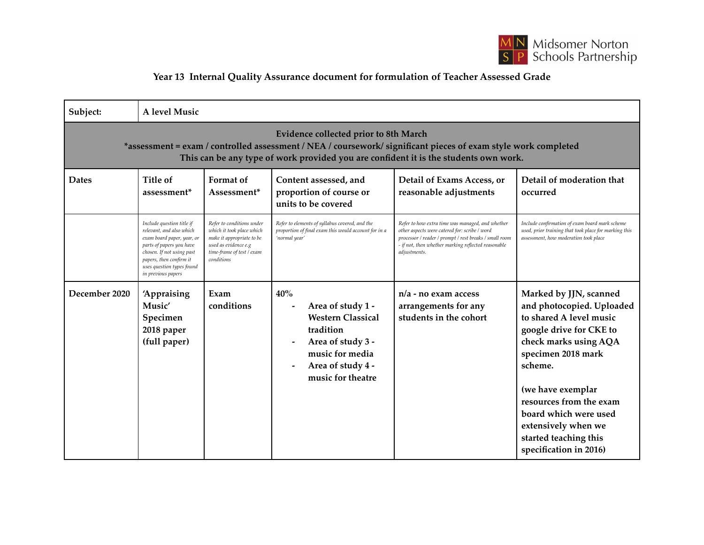

## **Year 13 Internal Quality Assurance document for formulation of Teacher Assessed Grade**

| Subject:                                                                                                                                                                                                                                        | A level Music                                                                                                                                                                                                              |                                                                                                                                                        |                                                                                                                                                     |                                                                                                                                                                                                                                    |                                                                                                                                                                                                                                                                                                                        |
|-------------------------------------------------------------------------------------------------------------------------------------------------------------------------------------------------------------------------------------------------|----------------------------------------------------------------------------------------------------------------------------------------------------------------------------------------------------------------------------|--------------------------------------------------------------------------------------------------------------------------------------------------------|-----------------------------------------------------------------------------------------------------------------------------------------------------|------------------------------------------------------------------------------------------------------------------------------------------------------------------------------------------------------------------------------------|------------------------------------------------------------------------------------------------------------------------------------------------------------------------------------------------------------------------------------------------------------------------------------------------------------------------|
| Evidence collected prior to 8th March<br>*assessment = exam / controlled assessment / NEA / coursework/ significant pieces of exam style work completed<br>This can be any type of work provided you are confident it is the students own work. |                                                                                                                                                                                                                            |                                                                                                                                                        |                                                                                                                                                     |                                                                                                                                                                                                                                    |                                                                                                                                                                                                                                                                                                                        |
| <b>Dates</b>                                                                                                                                                                                                                                    | Title of<br>assessment <sup>*</sup>                                                                                                                                                                                        | Format of<br>Assessment*                                                                                                                               | Content assessed, and<br>proportion of course or<br>units to be covered                                                                             | Detail of Exams Access, or<br>reasonable adjustments                                                                                                                                                                               | Detail of moderation that<br>occurred                                                                                                                                                                                                                                                                                  |
|                                                                                                                                                                                                                                                 | Include question title if<br>relevant, and also which<br>exam board paper, year, or<br>parts of papers you have<br>chosen. If not using past<br>papers, then confirm it<br>uses question types found<br>in previous papers | Refer to conditions under<br>which it took place which<br>make it appropriate to be<br>used as evidence e.g<br>time-frame of test / exam<br>conditions | Refer to elements of syllabus covered, and the<br>proportion of final exam this would account for in a<br>'normal year'                             | Refer to how extra time was managed, and whether<br>other aspects were catered for: scribe / word<br>processor / reader / prompt / rest breaks / small room<br>- if not, then whether marking reflected reasonable<br>adjustments. | Include confirmation of exam board mark scheme<br>used, prior training that took place for marking this<br>assessment, how moderation took place                                                                                                                                                                       |
| December 2020                                                                                                                                                                                                                                   | 'Appraising<br>Music'<br>Specimen<br>2018 paper<br>(full paper)                                                                                                                                                            | Exam<br>conditions                                                                                                                                     | 40%<br>Area of study 1 -<br><b>Western Classical</b><br>tradition<br>Area of study 3 -<br>music for media<br>Area of study 4 -<br>music for theatre | $n/a$ - no exam access<br>arrangements for any<br>students in the cohort                                                                                                                                                           | Marked by JJN, scanned<br>and photocopied. Uploaded<br>to shared A level music<br>google drive for CKE to<br>check marks using AQA<br>specimen 2018 mark<br>scheme.<br>(we have exemplar<br>resources from the exam<br>board which were used<br>extensively when we<br>started teaching this<br>specification in 2016) |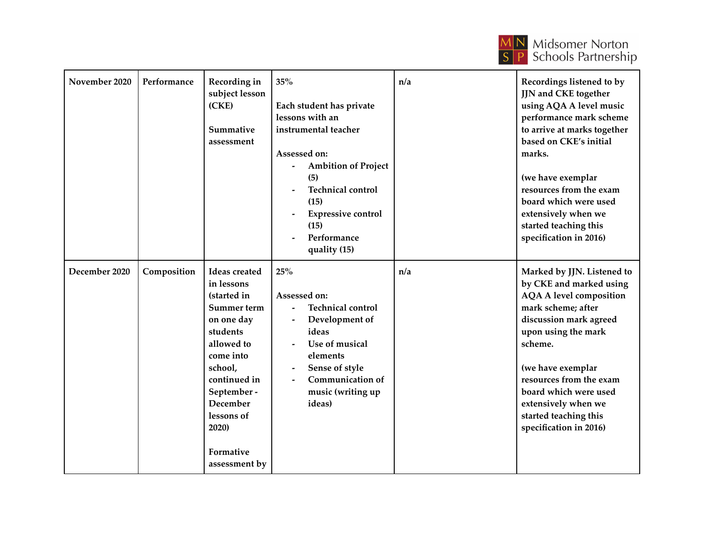

| November 2020 | Performance | Recording in<br>subject lesson<br>(CKE)<br>Summative<br>assessment                                                                                                                                                               | 35%<br>Each student has private<br>lessons with an<br>instrumental teacher<br>Assessed on:<br><b>Ambition of Project</b><br>(5)<br><b>Technical control</b><br>(15)<br><b>Expressive control</b><br>(15)<br>Performance<br>quality (15) | n/a | Recordings listened to by<br>JJN and CKE together<br>using AQA A level music<br>performance mark scheme<br>to arrive at marks together<br>based on CKE's initial<br>marks.<br>(we have exemplar<br>resources from the exam<br>board which were used<br>extensively when we<br>started teaching this<br>specification in 2016) |
|---------------|-------------|----------------------------------------------------------------------------------------------------------------------------------------------------------------------------------------------------------------------------------|-----------------------------------------------------------------------------------------------------------------------------------------------------------------------------------------------------------------------------------------|-----|-------------------------------------------------------------------------------------------------------------------------------------------------------------------------------------------------------------------------------------------------------------------------------------------------------------------------------|
| December 2020 | Composition | <b>Ideas</b> created<br>in lessons<br>(started in<br>Summer term<br>on one day<br>students<br>allowed to<br>come into<br>school,<br>continued in<br>September -<br>December<br>lessons of<br>2020)<br>Formative<br>assessment by | 25%<br>Assessed on:<br><b>Technical control</b><br>Development of<br>ideas<br>Use of musical<br>elements<br>Sense of style<br><b>Communication of</b><br>music (writing up<br>ideas)                                                    | n/a | Marked by JJN. Listened to<br>by CKE and marked using<br><b>AQA A level composition</b><br>mark scheme; after<br>discussion mark agreed<br>upon using the mark<br>scheme.<br>(we have exemplar<br>resources from the exam<br>board which were used<br>extensively when we<br>started teaching this<br>specification in 2016)  |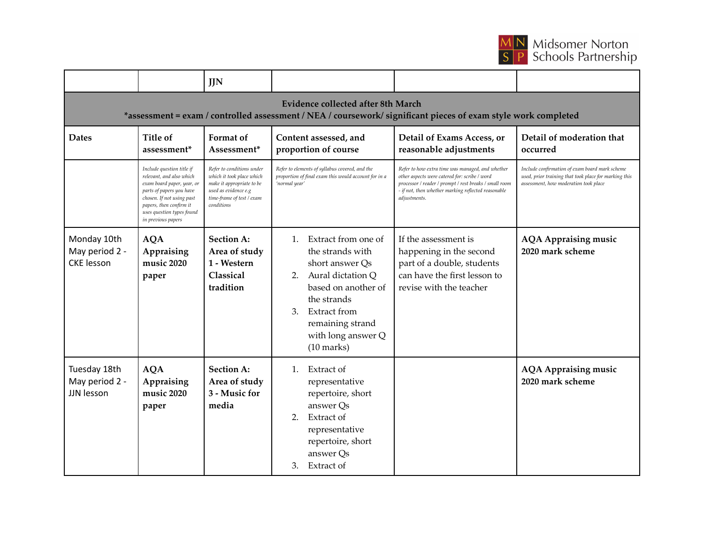

|                                                                                                                                                             |                                                                                                                                                                                                                            | <b>JJN</b>                                                                                                                                             |                                                                                                                                                                                                                                           |                                                                                                                                                                                                                                    |                                                                                                                                                  |  |
|-------------------------------------------------------------------------------------------------------------------------------------------------------------|----------------------------------------------------------------------------------------------------------------------------------------------------------------------------------------------------------------------------|--------------------------------------------------------------------------------------------------------------------------------------------------------|-------------------------------------------------------------------------------------------------------------------------------------------------------------------------------------------------------------------------------------------|------------------------------------------------------------------------------------------------------------------------------------------------------------------------------------------------------------------------------------|--------------------------------------------------------------------------------------------------------------------------------------------------|--|
| <b>Evidence collected after 8th March</b><br>*assessment = exam / controlled assessment / NEA / coursework/ significant pieces of exam style work completed |                                                                                                                                                                                                                            |                                                                                                                                                        |                                                                                                                                                                                                                                           |                                                                                                                                                                                                                                    |                                                                                                                                                  |  |
| <b>Dates</b>                                                                                                                                                | Title of<br>assessment <sup>*</sup>                                                                                                                                                                                        | Format of<br>Assessment*                                                                                                                               | Content assessed, and<br>proportion of course                                                                                                                                                                                             | Detail of Exams Access, or<br>reasonable adjustments                                                                                                                                                                               | Detail of moderation that<br>occurred                                                                                                            |  |
|                                                                                                                                                             | Include question title if<br>relevant, and also which<br>exam board paper, year, or<br>parts of papers you have<br>chosen. If not using past<br>papers, then confirm it<br>uses question types found<br>in previous papers | Refer to conditions under<br>which it took place which<br>make it appropriate to be<br>used as evidence e.g<br>time-frame of test / exam<br>conditions | Refer to elements of syllabus covered, and the<br>proportion of final exam this would account for in a<br>'normal year'                                                                                                                   | Refer to how extra time was managed, and whether<br>other aspects were catered for: scribe / word<br>processor / reader / prompt / rest breaks / small room<br>- if not, then whether marking reflected reasonable<br>adjustments. | Include confirmation of exam board mark scheme<br>used, prior training that took place for marking this<br>assessment, how moderation took place |  |
| Monday 10th<br>May period 2 -<br><b>CKE</b> lesson                                                                                                          | <b>AQA</b><br>Appraising<br>music 2020<br>paper                                                                                                                                                                            | <b>Section A:</b><br>Area of study<br>1 - Western<br>Classical<br>tradition                                                                            | Extract from one of<br>$1_{\cdot}$<br>the strands with<br>short answer Qs<br>Aural dictation Q<br>2.<br>based on another of<br>the strands<br>3.<br><b>Extract from</b><br>remaining strand<br>with long answer Q<br>$(10 \text{ marks})$ | If the assessment is<br>happening in the second<br>part of a double, students<br>can have the first lesson to<br>revise with the teacher                                                                                           | <b>AQA Appraising music</b><br>2020 mark scheme                                                                                                  |  |
| Tuesday 18th<br>May period 2 -<br>JJN lesson                                                                                                                | <b>AQA</b><br>Appraising<br>music 2020<br>paper                                                                                                                                                                            | <b>Section A:</b><br>Area of study<br>3 - Music for<br>media                                                                                           | Extract of<br>$1_{\cdot}$<br>representative<br>repertoire, short<br>answer Qs<br>2.<br>Extract of<br>representative<br>repertoire, short<br>answer Qs<br>Extract of<br>3.                                                                 |                                                                                                                                                                                                                                    | <b>AQA Appraising music</b><br>2020 mark scheme                                                                                                  |  |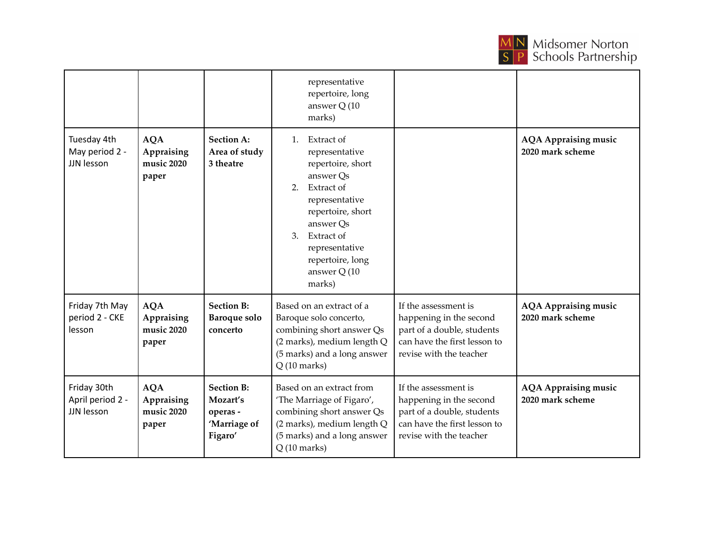

|                                               |                                                 |                                                                      | representative<br>repertoire, long<br>answer Q (10<br>marks)                                                                                                                                                                  |                                                                                                                                          |                                                 |
|-----------------------------------------------|-------------------------------------------------|----------------------------------------------------------------------|-------------------------------------------------------------------------------------------------------------------------------------------------------------------------------------------------------------------------------|------------------------------------------------------------------------------------------------------------------------------------------|-------------------------------------------------|
| Tuesday 4th<br>May period 2 -<br>JJN lesson   | <b>AQA</b><br>Appraising<br>music 2020<br>paper | <b>Section A:</b><br>Area of study<br>3 theatre                      | 1. Extract of<br>representative<br>repertoire, short<br>answer Qs<br>Extract of<br>2.<br>representative<br>repertoire, short<br>answer Qs<br>Extract of<br>3.<br>representative<br>repertoire, long<br>answer Q (10<br>marks) |                                                                                                                                          | <b>AQA Appraising music</b><br>2020 mark scheme |
| Friday 7th May<br>period 2 - CKE<br>lesson    | <b>AQA</b><br>Appraising<br>music 2020<br>paper | <b>Section B:</b><br><b>Baroque solo</b><br>concerto                 | Based on an extract of a<br>Baroque solo concerto,<br>combining short answer Qs<br>(2 marks), medium length Q<br>(5 marks) and a long answer<br>$Q(10 \text{ marks})$                                                         | If the assessment is<br>happening in the second<br>part of a double, students<br>can have the first lesson to<br>revise with the teacher | <b>AQA Appraising music</b><br>2020 mark scheme |
| Friday 30th<br>April period 2 -<br>JJN lesson | <b>AQA</b><br>Appraising<br>music 2020<br>paper | <b>Section B:</b><br>Mozart's<br>operas -<br>'Marriage of<br>Figaro' | Based on an extract from<br>'The Marriage of Figaro',<br>combining short answer Qs<br>(2 marks), medium length Q<br>(5 marks) and a long answer<br>$Q(10 \text{ marks})$                                                      | If the assessment is<br>happening in the second<br>part of a double, students<br>can have the first lesson to<br>revise with the teacher | <b>AQA Appraising music</b><br>2020 mark scheme |